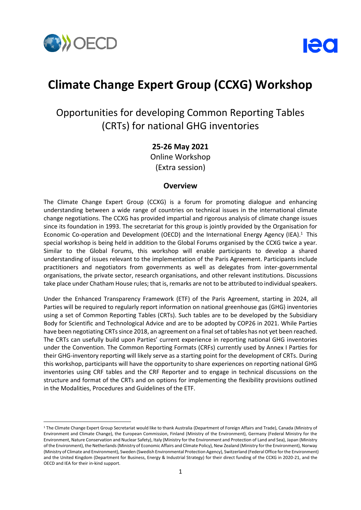

-



# **Climate Change Expert Group (CCXG) Workshop**

## Opportunities for developing Common Reporting Tables (CRTs) for national GHG inventories

### **25-26 May 2021**

Online Workshop (Extra session)

### **Overview**

The Climate Change Expert Group (CCXG) is a forum for promoting dialogue and enhancing understanding between a wide range of countries on technical issues in the international climate change negotiations. The CCXG has provided impartial and rigorous analysis of climate change issues since its foundation in 1993. The secretariat for this group is jointly provided by the Organisation for Economic Co-operation and Development (OECD) and the International Energy Agency (IEA). <sup>1</sup> This special workshop is being held in addition to the Global Forums organised by the CCXG twice a year. Similar to the Global Forums, this workshop will enable participants to develop a shared understanding of issues relevant to the implementation of the Paris Agreement. Participants include practitioners and negotiators from governments as well as delegates from inter-governmental organisations, the private sector, research organisations, and other relevant institutions. Discussions take place under Chatham House rules; that is, remarks are not to be attributed to individual speakers.

Under the Enhanced Transparency Framework (ETF) of the Paris Agreement, starting in 2024, all Parties will be required to regularly report information on national greenhouse gas (GHG) inventories using a set of Common Reporting Tables (CRTs). Such tables are to be developed by the Subsidiary Body for Scientific and Technological Advice and are to be adopted by COP26 in 2021. While Parties have been negotiating CRTs since 2018, an agreement on a final set of tables has not yet been reached. The CRTs can usefully build upon Parties' current experience in reporting national GHG inventories under the Convention. The Common Reporting Formats (CRFs) currently used by Annex I Parties for their GHG-inventory reporting will likely serve as a starting point for the development of CRTs. During this workshop, participants will have the opportunity to share experiences on reporting national GHG inventories using CRF tables and the CRF Reporter and to engage in technical discussions on the structure and format of the CRTs and on options for implementing the flexibility provisions outlined in the Modalities, Procedures and Guidelines of the ETF.

<sup>&</sup>lt;sup>1</sup> The Climate Change Expert Group Secretariat would like to thank Australia (Department of Foreign Affairs and Trade), Canada (Ministry of Environment and Climate Change), the European Commission, Finland (Ministry of the Environment), Germany (Federal Ministry for the Environment, Nature Conservation and Nuclear Safety), Italy (Ministry for the Environment and Protection of Land and Sea), Japan (Ministry of the Environment), the Netherlands (Ministry of Economic Affairs and Climate Policy), New Zealand (Ministry for the Environment), Norway (Ministry of Climate and Environment), Sweden (Swedish Environmental Protection Agency), Switzerland (Federal Office for the Environment) and the United Kingdom (Department for Business, Energy & Industrial Strategy) for their direct funding of the CCXG in 2020-21, and the OECD and IEA for their in-kind support.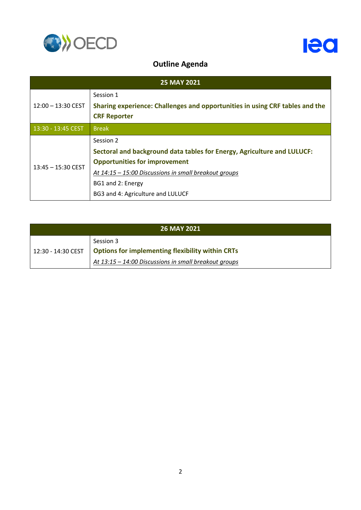



### **Outline Agenda**

| <b>25 MAY 2021</b>   |                                                                              |  |
|----------------------|------------------------------------------------------------------------------|--|
| $12:00 - 13:30$ CEST | Session 1                                                                    |  |
|                      | Sharing experience: Challenges and opportunities in using CRF tables and the |  |
|                      | <b>CRF Reporter</b>                                                          |  |
| 13:30 - 13:45 CEST   | <b>Break</b>                                                                 |  |
| $13:45 - 15:30$ CEST | Session 2                                                                    |  |
|                      | Sectoral and background data tables for Energy, Agriculture and LULUCF:      |  |
|                      | <b>Opportunities for improvement</b>                                         |  |
|                      | At 14:15 - 15:00 Discussions in small breakout groups                        |  |
|                      | BG1 and 2: Energy                                                            |  |
|                      | BG3 and 4: Agriculture and LULUCF                                            |  |

| <b>26 MAY 2021</b> |                                                                                                                                             |  |
|--------------------|---------------------------------------------------------------------------------------------------------------------------------------------|--|
|                    | Session 3<br>12:30 - 14:30 CEST   Options for implementing flexibility within CRTs<br>At 13:15 - 14:00 Discussions in small breakout groups |  |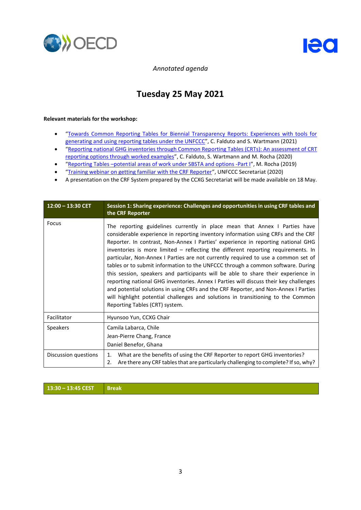



*Annotated agenda*

## **Tuesday 25 May 2021**

#### **Relevant materials for the workshop:**

- "[Towards Common Reporting Tables for Biennial Transparency Reports: Experiences with tools for](https://www.oecd.org/environment/towards-common-ghg-inventory-reporting-tables-for-biennial-transparency-reports-38f54dbf-en.htm)  [generating and using reporting tables under the UNFCCC](https://www.oecd.org/environment/towards-common-ghg-inventory-reporting-tables-for-biennial-transparency-reports-38f54dbf-en.htm)", C. Falduto and S. Wartmann (2021)
- "[Reporting national GHG inventories through Common Reporting Tables \(CRTs\): An assessment of CRT](https://www.oecd.org/env/reporting-national-ghg-inventories-through-common-reporting-tables-crts-c4f45e18-en.htm)
- [reporting options through worked examples](https://www.oecd.org/env/reporting-national-ghg-inventories-through-common-reporting-tables-crts-c4f45e18-en.htm)", C. Falduto, S. Wartmann and M. Rocha (2020) "Reporting Tables –[potential areas of work under SBSTA and options -Part I](https://www.oecd-ilibrary.org/environment/reporting-tables-potential-areas-of-work-under-sbsta-and-options_f8a2a5da-en)", M. Rocha (2019)
- "[Training webinar on getting familiar with the CRF Reporter](https://www.youtube.com/watch?v=r2f-CJlsv9Q)", UNFCCC Secretariat (2020)
- A presentation on the CRF System prepared by the CCXG Secretariat will be made available on 18 May.

| $12:00 - 13:30$ CET  | Session 1: Sharing experience: Challenges and opportunities in using CRF tables and<br>the CRF Reporter                                                                                                                                                                                                                                                                                                                                                                                                                                                                                                                                                                                                                                                                                                                                                                                                     |
|----------------------|-------------------------------------------------------------------------------------------------------------------------------------------------------------------------------------------------------------------------------------------------------------------------------------------------------------------------------------------------------------------------------------------------------------------------------------------------------------------------------------------------------------------------------------------------------------------------------------------------------------------------------------------------------------------------------------------------------------------------------------------------------------------------------------------------------------------------------------------------------------------------------------------------------------|
| Focus                | The reporting guidelines currently in place mean that Annex I Parties have<br>considerable experience in reporting inventory information using CRFs and the CRF<br>Reporter. In contrast, Non-Annex I Parties' experience in reporting national GHG<br>inventories is more limited – reflecting the different reporting requirements. In<br>particular, Non-Annex I Parties are not currently required to use a common set of<br>tables or to submit information to the UNFCCC through a common software. During<br>this session, speakers and participants will be able to share their experience in<br>reporting national GHG inventories. Annex I Parties will discuss their key challenges<br>and potential solutions in using CRFs and the CRF Reporter, and Non-Annex I Parties<br>will highlight potential challenges and solutions in transitioning to the Common<br>Reporting Tables (CRT) system. |
| Facilitator          | Hyunsoo Yun, CCXG Chair                                                                                                                                                                                                                                                                                                                                                                                                                                                                                                                                                                                                                                                                                                                                                                                                                                                                                     |
| Speakers             | Camila Labarca, Chile                                                                                                                                                                                                                                                                                                                                                                                                                                                                                                                                                                                                                                                                                                                                                                                                                                                                                       |
|                      | Jean-Pierre Chang, France                                                                                                                                                                                                                                                                                                                                                                                                                                                                                                                                                                                                                                                                                                                                                                                                                                                                                   |
|                      | Daniel Benefor, Ghana                                                                                                                                                                                                                                                                                                                                                                                                                                                                                                                                                                                                                                                                                                                                                                                                                                                                                       |
| Discussion questions | What are the benefits of using the CRF Reporter to report GHG inventories?<br>1.<br>Are there any CRF tables that are particularly challenging to complete? If so, why?<br>2.                                                                                                                                                                                                                                                                                                                                                                                                                                                                                                                                                                                                                                                                                                                               |

**13:30 – 13:45 CEST Break**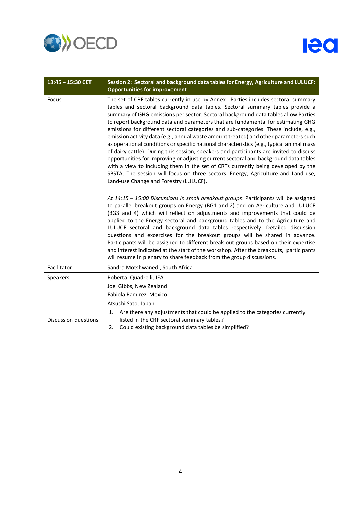

| 13:45 - 15:30 CET    | Session 2: Sectoral and background data tables for Energy, Agriculture and LULUCF:<br><b>Opportunities for improvement</b>                                                                                                                                                                                                                                                                                                                                                                                                                                                                                                                                                                                                                                                                                                                                                                                                                                                                                                         |
|----------------------|------------------------------------------------------------------------------------------------------------------------------------------------------------------------------------------------------------------------------------------------------------------------------------------------------------------------------------------------------------------------------------------------------------------------------------------------------------------------------------------------------------------------------------------------------------------------------------------------------------------------------------------------------------------------------------------------------------------------------------------------------------------------------------------------------------------------------------------------------------------------------------------------------------------------------------------------------------------------------------------------------------------------------------|
| Focus                | The set of CRF tables currently in use by Annex I Parties includes sectoral summary<br>tables and sectoral background data tables. Sectoral summary tables provide a<br>summary of GHG emissions per sector. Sectoral background data tables allow Parties<br>to report background data and parameters that are fundamental for estimating GHG<br>emissions for different sectoral categories and sub-categories. These include, e.g.,<br>emission activity data (e.g., annual waste amount treated) and other parameters such<br>as operational conditions or specific national characteristics (e.g., typical animal mass<br>of dairy cattle). During this session, speakers and participants are invited to discuss<br>opportunities for improving or adjusting current sectoral and background data tables<br>with a view to including them in the set of CRTs currently being developed by the<br>SBSTA. The session will focus on three sectors: Energy, Agriculture and Land-use,<br>Land-use Change and Forestry (LULUCF). |
|                      | At 14:15 - 15:00 Discussions in small breakout groups: Participants will be assigned<br>to parallel breakout groups on Energy (BG1 and 2) and on Agriculture and LULUCF<br>(BG3 and 4) which will reflect on adjustments and improvements that could be<br>applied to the Energy sectoral and background tables and to the Agriculture and<br>LULUCF sectoral and background data tables respectively. Detailed discussion<br>questions and excercises for the breakout groups will be shared in advance.<br>Participants will be assigned to different break out groups based on their expertise<br>and interest indicated at the start of the workshop. After the breakouts, participants<br>will resume in plenary to share feedback from the group discussions.                                                                                                                                                                                                                                                                |
| Facilitator          | Sandra Motshwanedi, South Africa                                                                                                                                                                                                                                                                                                                                                                                                                                                                                                                                                                                                                                                                                                                                                                                                                                                                                                                                                                                                   |
| Speakers             | Roberta Quadrelli, IEA<br>Joel Gibbs, New Zealand<br>Fabiola Ramirez, Mexico<br>Atsushi Sato, Japan                                                                                                                                                                                                                                                                                                                                                                                                                                                                                                                                                                                                                                                                                                                                                                                                                                                                                                                                |
| Discussion questions | Are there any adjustments that could be applied to the categories currently<br>1.<br>listed in the CRF sectoral summary tables?<br>Could existing background data tables be simplified?<br>2.                                                                                                                                                                                                                                                                                                                                                                                                                                                                                                                                                                                                                                                                                                                                                                                                                                      |